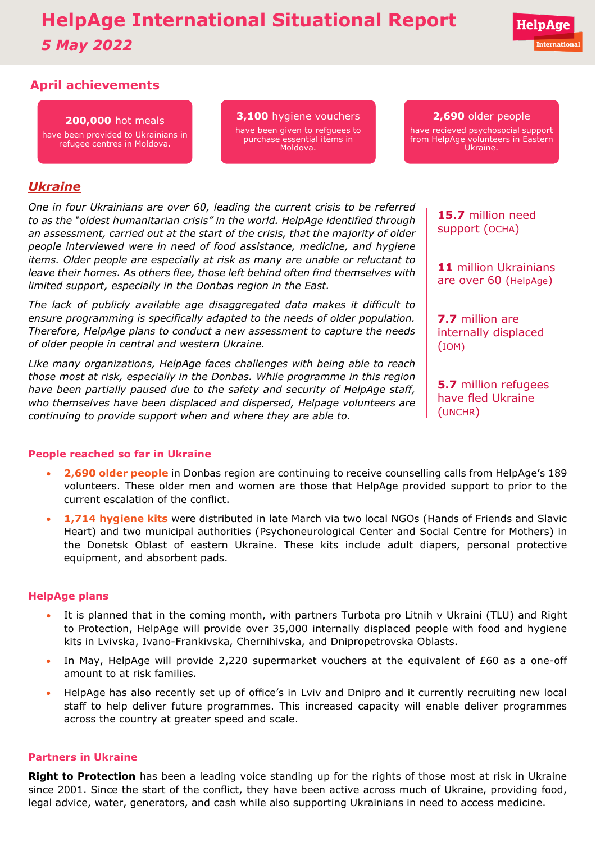# **HelpAge International Situational Report** *5 May 2022*

# **April achievements**

### **200,000** hot meals

have been provided to Ukrainians in refugee centres in Moldova.

**3,100** hygiene vouchers have been given to refguees to purchase essential items in Moldova.

#### **2,690** older people

have recieved psychosocial support from HelpAge volunteers in Eastern Ukraine.

# *Ukraine*

*One in four Ukrainians are over 60, leading the current crisis to be referred to as the "oldest humanitarian crisis" in the world. HelpAge identified through an assessment, carried out at the start of the crisis, that the majority of older people interviewed were in need of food assistance, medicine, and hygiene items. Older people are especially at risk as many are unable or reluctant to leave their homes. As others flee, those left behind often find themselves with limited support, especially in the Donbas region in the East.* 

*The lack of publicly available age disaggregated data makes it difficult to ensure programming is specifically adapted to the needs of older population. Therefore, HelpAge plans to conduct a new assessment to capture the needs of older people in central and western Ukraine.* 

*Like many organizations, HelpAge faces challenges with being able to reach those most at risk, especially in the Donbas. While programme in this region have been partially paused due to the safety and security of HelpAge staff, who themselves have been displaced and dispersed, Helpage volunteers are continuing to provide support when and where they are able to.* 

**15.7** million need support (OCHA)

**11** million Ukrainians are over 60 (HelpAge)

**7.7** million are internally displaced (IOM)

**5.7** million refugees have fled Ukraine (UNCHR)

#### **People reached so far in Ukraine**

- **2,690 older people** in Donbas region are continuing to receive counselling calls from HelpAge's 189 volunteers. These older men and women are those that HelpAge provided support to prior to the current escalation of the conflict.
- **1,714 hygiene kits** were distributed in late March via two local NGOs (Hands of Friends and Slavic Heart) and two municipal authorities (Psychoneurological Center and Social Centre for Mothers) in the Donetsk Oblast of eastern Ukraine. These kits include adult diapers, personal protective equipment, and absorbent pads.

#### **HelpAge plans**

- It is planned that in the coming month, with partners Turbota pro Litnih v Ukraini (TLU) and Right to Protection, HelpAge will provide over 35,000 internally displaced people with food and hygiene kits in Lvivska, Ivano-Frankivska, Chernihivska, and Dnipropetrovska Oblasts.
- In May, HelpAge will provide 2,220 supermarket vouchers at the equivalent of £60 as a one-off amount to at risk families.
- HelpAge has also recently set up of office's in Lviv and Dnipro and it currently recruiting new local staff to help deliver future programmes. This increased capacity will enable deliver programmes across the country at greater speed and scale.

#### **Partners in Ukraine**

**Right to Protection** has been a leading voice standing up for the rights of those most at risk in Ukraine since 2001. Since the start of the conflict, they have been active across much of Ukraine, providing food, legal advice, water, generators, and cash while also supporting Ukrainians in need to access medicine.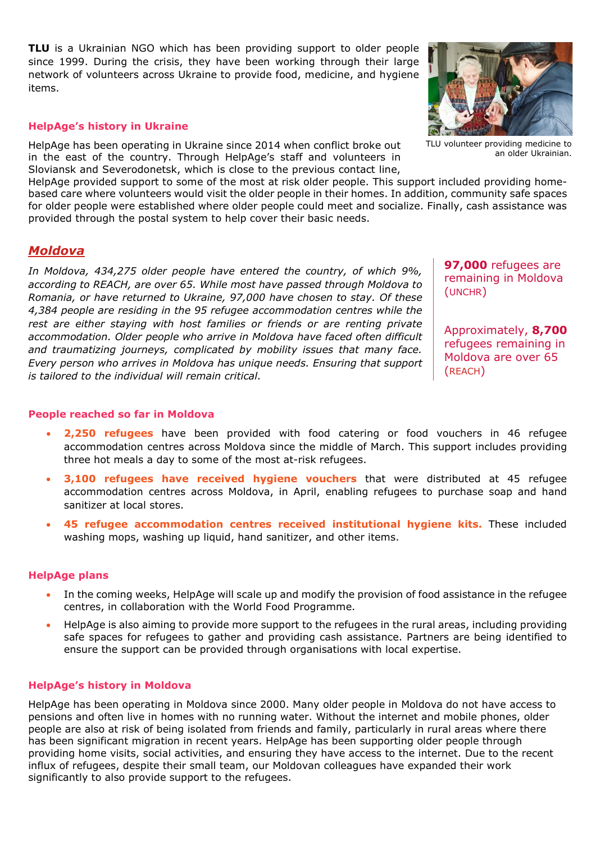**[TLU](http://www.tlu.org.ua/)** is a Ukrainian NGO which has been providing support to older people since 1999. During the crisis, they have been working through their large network of volunteers across Ukraine to provide food, medicine, and hygiene items.

#### **HelpAge's history in Ukraine**

HelpAge has been operating in Ukraine since 2014 when conflict broke out in the east of the country. Through HelpAge's staff and volunteers in Sloviansk and Severodonetsk, which is close to the previous contact line,

HelpAge provided support to some of the most at risk older people. This support included providing homebased care where volunteers would visit the older people in their homes. In addition, community safe spaces for older people were established where older people could meet and socialize. Finally, cash assistance was provided through the postal system to help cover their basic needs.

## *Moldova*

*In Moldova, [434,275](https://data2.unhcr.org/en/documents/details/92388) older people have entered the country, of which [9%,](https://data2.unhcr.org/en/documents/details/92088) according to [REACH,](https://data2.unhcr.org/en/documents/details/92429) are over 65. While most have passed through Moldova to Romania, or have returned to Ukraine, 97,000 have chosen to stay. Of these [4,384 p](https://www.impact-repository.org/document/reach/9a15586a/REACH_MDA_Factsheet_RAC-Weekly-Needs-Monitoring_2022-04-27_EN.pdf)eople are residing in the 95 refugee accommodation centres while the rest are either staying with host families or friends or are renting private accommodation. Older people who arrive in Moldova have faced often difficult and traumatizing journeys, complicated by mobility issues that many face. Every person who arrives in Moldova has unique needs. Ensuring that support is tailored to the individual will remain critical.* 

**97,000** refugees are remaining in Moldova [\(UNCHR\)](https://data2.unhcr.org/en/documents/details/92388)

Approximately, **8,700** refugees remaining in Moldova are over 65 [\(REACH\)](https://data2.unhcr.org/en/documents/details/92429)

#### **People reached so far in Moldova**

- **2,250 refugees** have been provided with food catering or food vouchers in 46 refugee accommodation centres across Moldova since the middle of March. This support includes providing three hot meals a day to some of the most at-risk refugees.
- **3,100 refugees have received hygiene vouchers** that were distributed at 45 refugee accommodation centres across Moldova, in April, enabling refugees to purchase soap and hand sanitizer at local stores.
- **45 refugee accommodation centres received institutional hygiene kits.** These included washing mops, washing up liquid, hand sanitizer, and other items.

#### **HelpAge plans**

- In the coming weeks, HelpAge will scale up and modify the provision of food assistance in the refugee centres, in collaboration with the World Food Programme.
- HelpAge is also aiming to provide more support to the refugees in the rural areas, including providing safe spaces for refugees to gather and providing cash assistance. Partners are being identified to ensure the support can be provided through organisations with local expertise.

#### **HelpAge's history in Moldova**

HelpAge has been operating in Moldova since 2000. Many older people in Moldova do not have access to pensions and often live in homes with no running water. Without the internet and mobile phones, older people are also at risk of being isolated from friends and family, particularly in rural areas where there has been significant migration in recent years. HelpAge has been supporting older people through providing home visits, social activities, and ensuring they have access to the internet. Due to the recent influx of refugees, despite their small team, our Moldovan colleagues have expanded their work significantly to also provide support to the refugees.



an older Ukrainian.